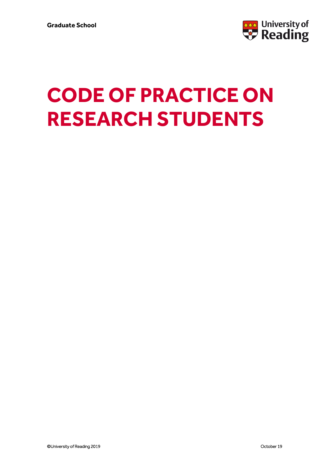

# **CODE OF PRACTICE ON RESEARCH STUDENTS**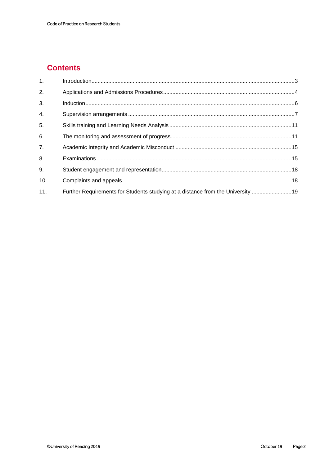## **Contents**

| 1.               |                                                                                  |  |
|------------------|----------------------------------------------------------------------------------|--|
| 2.               |                                                                                  |  |
| 3.               |                                                                                  |  |
| 4.               |                                                                                  |  |
| 5.               |                                                                                  |  |
| 6.               |                                                                                  |  |
| $\overline{7}$ . |                                                                                  |  |
| 8.               |                                                                                  |  |
| 9.               |                                                                                  |  |
| 10.              |                                                                                  |  |
| 11.              | Further Requirements for Students studying at a distance from the University  19 |  |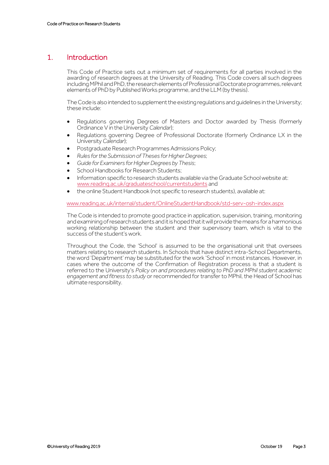## <span id="page-2-0"></span>1. Introduction

This Code of Practice sets out a minimum set of requirements for all parties involved in the awarding of research degrees at the University of Reading. This Code covers all such degrees including MPhil and PhD, the research elements of Professional Doctorate programmes, relevant elements of PhD by Published Works programme, and the LLM (by thesis).

The Code is also intended to supplement the existing regulations and guidelines in the University; these include:

- Regulations governing Degrees of Masters and Doctor awarded by Thesis (formerly Ordinance V in the University *Calendar*);
- Regulations governing Degree of Professional Doctorate (formerly Ordinance LX in the University *Calendar*);
- Postgraduate Research Programmes Admissions Policy;
- *Rules for the Submission of Theses for Higher Degrees*;
- *Guide for Examiners for Higher Degrees by Thesis*;
- School Handbooks for Research Students;
- Information specific to research students available via the Graduate School website at: [www.reading.ac.uk/graduateschool/currentstudents](http://www.reading.ac.uk/graduateschool/currentstudents) and
- the online Student Handbook (not specific to research students), available at:

#### [www.reading.ac.uk/internal/student/OnlineStudentHandbook/std-serv-osh-index.aspx](http://www.reading.ac.uk/internal/student/OnlineStudentHandbook/std-serv-osh-index.aspx)

The Code is intended to promote good practice in application, supervision, training, monitoring and examining of research students and it is hoped that it will provide the means for a harmonious working relationship between the student and their supervisory team, which is vital to the success of the student's work.

Throughout the Code, the 'School' is assumed to be the organisational unit that oversees matters relating to research students. In Schools that have distinct intra-School Departments, the word 'Department' may be substituted for the work 'School' in most instances. However, in cases where the outcome of the Confirmation of Registration process is that a student is referred to the University's *Policy on and procedures relating to PhD and MPhil student academic engagement and fitness to study* or recommended for transfer to MPhil, the Head of School has ultimate responsibility.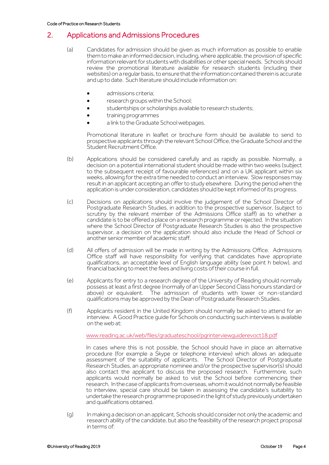## <span id="page-3-0"></span>2. Applications and Admissions Procedures

- (a) Candidates for admission should be given as much information as possible to enable them to make an informed decision, including, where applicable, the provision of specific information relevant for students with disabilities or other special needs. Schools should review the promotional literature available for research students (including their websites) on a regular basis, to ensure that the information contained therein is accurate and up to date. Such literature should include information on:
	- admissions criteria;
	- research groups within the School;
	- studentships or scholarships available to research students;
	- training programmes
	- a link to the Graduate School webpages.

Promotional literature in leaflet or brochure form should be available to send to prospective applicants through the relevant School Office, the Graduate School and the Student Recruitment Office.

- (b) Applications should be considered carefully and as rapidly as possible. Normally, a decision on a potential international student should be made within two weeks (subject to the subsequent receipt of favourable references) and on a UK applicant within six weeks, allowing for the extra time needed to conduct an interview. Slow responses may result in an applicant accepting an offer to study elsewhere. During the period when the application is under consideration, candidates should be kept informed of its progress.
- (c) Decisions on applications should involve the judgement of the School Director of Postgraduate Research Studies, in addition to the prospective supervisor, (subject to scrutiny by the relevant member of the Admissions Office staff) as to whether a candidate is to be offered a place on a research programme or rejected. In the situation where the School Director of Postgraduate Research Studies is also the prospective supervisor, a decision on the application should also include the Head of School or another senior member of academic staff.
- (d) All offers of admission will be made in writing by the Admissions Office. Admissions Office staff will have responsibility for verifying that candidates have appropriate qualifications, an acceptable level of English language ability (see point h below), and financial backing to meet the fees and living costs of their course in full.
- (e) Applicants for entry to a research degree of the University of Reading should normally possess at least a first degree (normally of an Upper Second Class honours standard or The admission of students with lower or non-standard qualifications may be approved by the Dean of Postgraduate Research Studies.
- (f) Applicants resident in the United Kingdom should normally be asked to attend for an interview. A Good Practice guide for Schools on conducting such interviews is available on the web at:

[www.reading.ac.uk/web/files/graduateschool/pgrinterviewguiderevoct18.pdf](http://www.reading.ac.uk/web/files/graduateschool/pgrinterviewguiderevoct18.pdf)

In cases where this is not possible, the School should have in place an alternative procedure (for example a Skype or telephone interview) which allows an adequate assessment of the suitability of applicants. The School Director of Postgraduate Research Studies, an appropriate nominee and/or the prospective supervisor(s) should also contact the applicant to discuss the proposed research. Furthermore, such applicants would normally be asked to visit the School before commencing their research. In the case of applicants from overseas, whom it would not normally be feasible to interview, special care should be taken in assessing the candidate's suitability to undertake the research programme proposed in the light of study previously undertaken and qualifications obtained.

(g) In making a decision on an applicant, Schools should consider not only the academic and research ability of the candidate, but also the feasibility of the research project proposal in terms of: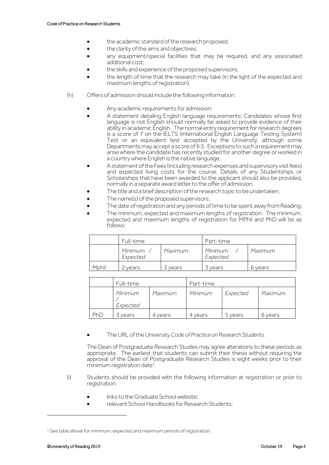- $\bullet$  the academic standard of the research proposed;
- **•** the clarity of the aims and objectives;
- any equipment/special facilities that may be required, and any associated additional cost;
- the skills and experience of the proposed supervisors;
- the length of time that the research may take (in the light of the expected and maximum lengths of registration).
- (h) Offers of admission should include the following information:
	- Any academic requirements for admission;
	- A statement detailing English language requirements; Candidates whose first language is not English should normally be asked to provide evidence of their ability in academic English. The normal entry requirement for research degrees is a score of 7 on the IELTS (International English Language Testing System) Test or an equivalent test accepted by the University, although some Departments may accept a score of 6.5. Exceptions to such a requirement may arise where the candidate has recently studied for another degree or worked in a country where English is the native language;
	- A statement of the Fees (including research expenses and supervisory visit fees) and expected living costs for the course. Details of any Studentships or Scholarships that have been awarded to the applicant should also be provided, normally in a separate award letter to the offer of admission;
	- The title and a brief description of the research topic to be undertaken;
	- The name(s) of the proposed supervisors;
	- The date of registration and any periods of time to be spent away from Reading;
	- The minimum, expected and maximum lengths of registration. The minimum, expected and maximum lengths of registration for MPhil and PhD will be as follows:

|       | Full-time           |         | Part-time           |         |  |
|-------|---------------------|---------|---------------------|---------|--|
|       | Minimum<br>Expected | Maximum | Minimum<br>Expected | Maximum |  |
| Mnhil | vears               | vears   | 3 years             | vears   |  |

|     | Full-time           |         | Part-time |          |         |
|-----|---------------------|---------|-----------|----------|---------|
|     | Minimum<br>Expected | Maximum | Minimum   | Expected | Maximum |
| PhD | vears               | vears   | vears     | 5 vears  | vears   |

The URL of the University *Code of Practice on Research Students.*

The Dean of Postgraduate Research Studies may agree alterations to these periods as appropriate. The earliest that students can submit their thesis without requiring the approval of the Dean of Postgraduate Research Studies is eight weeks prior to their minimum registration date<sup>1</sup>.

- (i) Students should be provided with the following information at registration or prior to registration:
	- links to the Graduate School website;
	- relevant School Handbooks for Research Students;

1

<sup>&</sup>lt;sup>1</sup> See table above for minimum, expected and maximum periods of registration.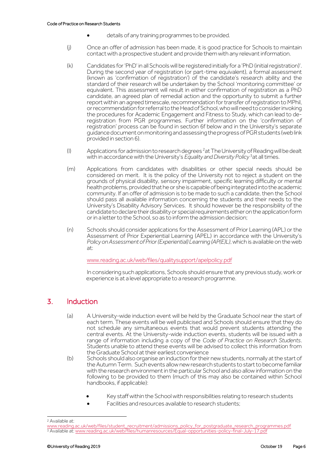- details of any training programmes to be provided.
- (j) Once an offer of admission has been made, it is good practice for Schools to maintain contact with a prospective student and provide them with any relevant information.
- (k) Candidates for 'PhD' in all Schools will be registered initially for a 'PhD (initial registration)'. During the second year of registration (or part-time equivalent), a formal assessment (known as 'confirmation of registration') of the candidate's research ability and the standard of their research will be undertaken by the School 'monitoring committee' or equivalent. This assessment will result in either confirmation of registration as a PhD candidate, an agreed plan of remedial action and the opportunity to submit a further report within an agreed timescale, recommendation for transfer of registration to MPhil, or recommendation for referral to the Head of School, who will need to consider invoking the procedures for Academic Engagement and Fitness to Study, which can lead to deregistration from PGR programmes. Further information on the 'confirmation of registration' process can be found in section 6f below and in the University's separate guidance document on monitoring and assessingthe progress of PGR students (web link provided in section 6).
- $($ l) Applications for admission to research degrees <sup>2</sup> at The University of Reading will be dealt with in accordance with the University's *Equality and Diversity Policy*<sup>3</sup> at all times.
- (m) Applications from candidates with disabilities or other special needs should be considered on merit. It is the policy of the University not to reject a student on the grounds of physical disability, sensory impairment, specific learning difficulty or mental health problems, provided that he or she is capable of being integrated into the academic community. If an offer of admission is to be made to such a candidate, then the School should pass all available information concerning the students and their needs to the University's Disability Advisory Services. It should however be the responsibility of the candidate to declare their disability or special requirements either on the application form or in a letter to the School, so as to inform the admission decision;
- (n) Schools should consider applications for the Assessment of Prior Learning (APL) or the Assessment of Prior Experiential Learning (APEL) in accordance with the University's *Policy on Assessment of Prior (Experiential) Learning (AP(E)L)*, which is available on the web at:

#### [www.reading.ac.uk/web/files/qualitysupport/apelpolicy.pdf](http://www.reading.ac.uk/web/files/qualitysupport/apelpolicy.pdf)

In considering such applications, Schools should ensure that any previous study, work or experience is at a level appropriate to a research programme.

## <span id="page-5-0"></span>3. Induction

- (a) A University-wide induction event will be held by the Graduate School near the start of each term. These events will be well publicised and Schools should ensure that they do not schedule any simultaneous events that would prevent students attending the central events. At the University-wide induction events, students will be issued with a range of information including a copy of the *Code of Practice on Research Students*. Students unable to attend these events will be advised to collect this information from the Graduate School at their earliest convenience
- (b) Schools should also organise an induction for their new students, normally at the start of the Autumn Term. Such events allow new research students to start to become familiar with the research environment in the particular School and also allow information on the following to be provided to them (much of this may also be contained within School handbooks, if applicable):
	- Key staff within the School with responsibilities relating to research students
	- Facilities and resources available to research students;

<sup>1</sup> <sup>2</sup> Available at:

[www.reading.ac.uk/web/files/student\\_recruitment/admissions\\_policy\\_for\\_postgraduate\\_research\\_programmes.pdf](http://www.reading.ac.uk/web/files/student_recruitment/admissions_policy_for_postgraduate_research_programmes.pdf) <sup>3</sup> Available at[: www.reading.ac.uk/web/files/humanresources/Equal-opportunities-policy-final-July-17.pdf](http://www.reading.ac.uk/web/files/humanresources/Equal-opportunities-policy-final-July-17.pdf)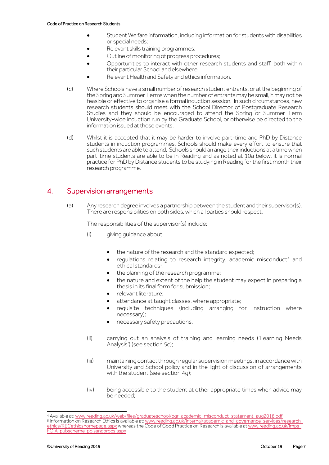- Student Welfare information, including information for students with disabilities or special needs;
- Relevant skills training programmes;
- Outline of monitoring of progress procedures;
- Opportunities to interact with other research students and staff, both within their particular School and elsewhere;
- Relevant Health and Safety and ethics information.
- (c) Where Schools have a small number of research student entrants, or at the beginning of the Spring and Summer Terms when the number of entrants may be small, it may not be feasible or effective to organise a formal induction session. In such circumstances, new research students should meet with the School Director of Postgraduate Research Studies and they should be encouraged to attend the Spring or Summer Term University-wide induction run by the Graduate School, or otherwise be directed to the information issued at those events.
- (d) Whilst it is accepted that it may be harder to involve part-time and PhD by Distance students in induction programmes, Schools should make every effort to ensure that such students are able to attend. Schools should arrange their inductions at a time when part-time students are able to be in Reading and as noted at 10a below, it is normal practice for PhD by Distance students to be studying in Reading for the first month their research programme.

## <span id="page-6-0"></span>4. Supervision arrangements

(a) Any research degree involves a partnership between the student and their supervisor(s). There are responsibilities on both sides, which all parties should respect.

The responsibilities of the supervisor(s) include:

- (i) giving guidance about
	- the nature of the research and the standard expected;
	- regulations relating to research integrity, academic misconduct<sup>4</sup> and ethical standards<sup>5</sup>;
	- the planning of the research programme;
	- the nature and extent of the help the student may expect in preparing a thesis in its final form for submission;
	- relevant literature;
	- attendance at taught classes, where appropriate;
	- requisite techniques (including arranging for instruction where necessary);
	- necessary safety precautions.
- (ii) carrying out an analysis of training and learning needs ('Learning Needs Analysis') (see section 5c);
- (iii) maintaining contact through regular supervision meetings, in accordance with University and School policy and in the light of discussion of arrangements with the student (see section 4g);
- (iv) being accessible to the student at other appropriate times when advice may be needed;

<sup>1</sup> <sup>4</sup> Available at[: www.reading.ac.uk/web/files/graduateschool/pgr\\_academic\\_misconduct\\_statement\\_aug2018.pdf](http://www.reading.ac.uk/web/files/graduateschool/pgr_academic_misconduct_statement_aug2018.pdf)

<sup>5</sup> Information on Research Ethics is available at[: www.reading.ac.uk/internal/academic-and-governance-services/research](http://www.reading.ac.uk/internal/academic-and-governance-services/research-ethics/RECethicshomepage.aspx)[ethics/RECethicshomepage.aspx](http://www.reading.ac.uk/internal/academic-and-governance-services/research-ethics/RECethicshomepage.aspx) whereas the Code of Good Practice on Research is available a[t www.reading.ac.uk/imps-](http://www.reading.ac.uk/imps-FOIA-pubscheme-polsandprocs.aspx)[FOIA-pubscheme-polsandprocs.aspx](http://www.reading.ac.uk/imps-FOIA-pubscheme-polsandprocs.aspx)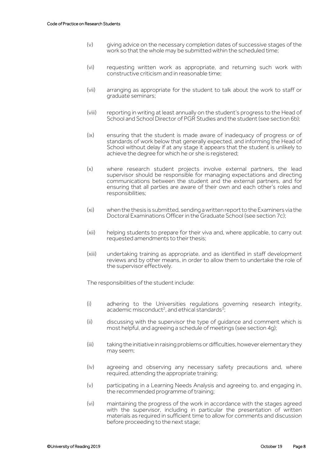- (v) giving advice on the necessary completion dates of successive stages of the work so that the whole may be submitted within the scheduled time;
- (vi) requesting written work as appropriate, and returning such work with constructive criticism and in reasonable time;
- (vii) arranging as appropriate for the student to talk about the work to staff or graduate seminars;
- (viii) reporting in writing at least annually on the student's progress to the Head of School and School Director of PGR Studies and the student (see section 6b);
- (ix) ensuring that the student is made aware of inadequacy of progress or of standards of work below that generally expected, and informing the Head of School without delay if at any stage it appears that the student is unlikely to achieve the degree for which he or she is registered;
- (x) where research student projects involve external partners, the lead supervisor should be responsible for managing expectations and directing communications between the student and the external partners, and for ensuring that all parties are aware of their own and each other's roles and responsibilities;
- (xi) when the thesis is submitted, sending a written report to the Examiners via the Doctoral Examinations Officer in the Graduate School (see section 7c);
- (xii) helping students to prepare for their viva and, where applicable, to carry out requested amendments to their thesis;
- (xiii) undertaking training as appropriate, and as identified in staff development reviews and by other means, in order to allow them to undertake the role of the supervisor effectively.

The responsibilities of the student include:

- (i) adhering to the Universities regulations governing research integrity, academic misconduct<sup>2</sup>, and ethical standards<sup>3</sup>;
- (ii) discussing with the supervisor the type of guidance and comment which is most helpful, and agreeing a schedule of meetings (see section 4g);
- (iii) taking the initiative in raising problems or difficulties, however elementary they may seem;
- (iv) agreeing and observing any necessary safety precautions and, where required, attending the appropriate training;
- (v) participating in a Learning Needs Analysis and agreeing to, and engaging in, the recommended programme of training;
- (vi) maintaining the progress of the work in accordance with the stages agreed with the supervisor, including in particular the presentation of written materials as required in sufficient time to allow for comments and discussion before proceeding to the next stage;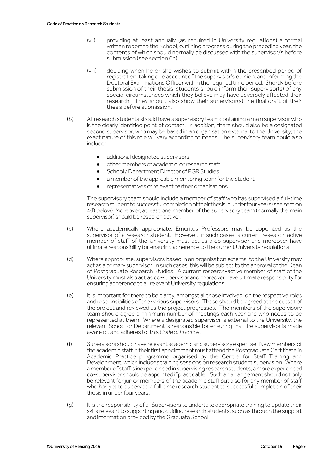- (vii) providing at least annually (as required in University regulations) a formal written report to the School, outlining progress during the preceding year, the contents of which should normally be discussed with the supervisor/s before submission (see section 6b);
- (viii) deciding when he or she wishes to submit within the prescribed period of registration, taking due account of the supervisor's opinion, and informing the Doctoral Examinations Officer within the required time period. Shortly before submission of their thesis, students should inform their supervisor(s) of any special circumstances which they believe may have adversely affected their research. They should also show their supervisor(s) the final draft of their thesis before submission.
- (b) All research students should have a supervisory team containing a main supervisor who is the clearly identified point of contact. In addition, there should also be a designated second supervisor, who may be based in an organisation external to the University; the exact nature of this role will vary according to needs. The supervisory team could also include:
	- additional designated supervisors
	- other members of academic or research staff
	- School / Department Director of PGR Studies
	- a member of the applicable monitoring team for the student
	- representatives of relevant partner organisations

The supervisory team should include a member of staff who has supervised a full-time research student to successful completion of their thesis in under four years (see section 4(f) below). Moreover, at least one member of the supervisory team (normally the main supervisor) should be research active'.

- (c) Where academically appropriate, Emeritus Professors may be appointed as the supervisor of a research student. However, in such cases, a current research-active member of staff of the University must act as a co-supervisor and moreover have ultimate responsibility for ensuring adherence to the current University regulations.
- (d) Where appropriate, supervisors based in an organisation external to the University may act as a primary supervisor. In such cases, this will be subject to the approval of the Dean of Postgraduate Research Studies. A current research-active member of staff of the University must also act as co-supervisor and moreover have ultimate responsibility for ensuring adherence to all relevant University regulations.
- (e) It is important for there to be clarity, amongst all those involved, on the respective roles and responsibilities of the various supervisors. These should be agreed at the outset of the project and reviewed as the project progresses. The members of the supervisory team should agree a minimum number of meetings each year and who needs to be represented at them. Where a designated supervisor is external to the University, the relevant School or Department is responsible for ensuring that the supervisor is made aware of, and adheres to, this *Code of Practice*.
- (f) Supervisors should have relevant academic and supervisory expertise. New members of the academic staff in their first appointment must attend the Postgraduate Certificate in Academic Practice programme organised by the Centre for Staff Training and Development, which includes training sessions on research student supervision. Where a member of staff is inexperienced in supervising research students, a more experienced co-supervisor should be appointed if practicable. Such an arrangement should not only be relevant for junior members of the academic staff but also for any member of staff who has yet to supervise a full-time research student to successful completion of their thesis in under four years.
- (g) It is the responsibility of all Supervisors to undertake appropriate training to update their skills relevant to supporting and guiding research students, such as through the support and information provided by the Graduate School.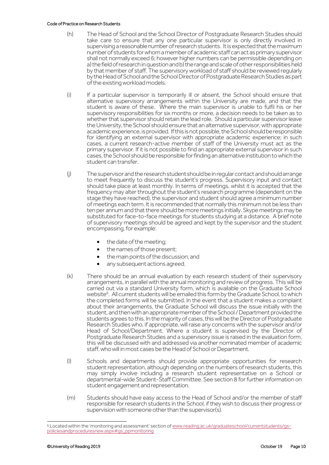#### Code of Practice on Research Students

- (h) The Head of School and the School Director of Postgraduate Research Studies should take care to ensure that any one particular supervisor is only directly involved in supervising a reasonable number of research students. It is expected that the maximum number of students for whom a member of academic staff can act as primary supervisor shall not normally exceed 6; however higher numbers can be permissible depending on a) the field of research in question and b) the range and scale of other responsibilities held by that member of staff. The supervisory workload of staff should be reviewed regularly by the Head of School and the School Director of Postgraduate Research Studies as part of the existing workload models.
- (i) If a particular supervisor is temporarily ill or absent, the School should ensure that alternative supervisory arrangements within the University are made, and that the student is aware of these. Where the main supervisor is unable to fulfil his or her supervisory responsibilities for six months or more, a decision needs to be taken as to whether that supervisor should retain the lead role. Should a particular supervisor leave the University, the School should ensure that an alternative supervisor, with appropriate academic experience, is provided. If this is not possible, the School should be responsible for identifying an external supervisor with appropriate academic experience; in such cases, a current research-active member of staff of the University must act as the primary supervisor. If it is not possible to find an appropriate external supervisor in such cases, the School should be responsible for finding an alternative institution to which the student can transfer.
- (j) The supervisor and the research student should be in regular contact and should arrange to meet frequently to discuss the student's progress. Supervisory input and contact should take place at least monthly. In terms of meetings, whilst it is accepted that the frequency may alter throughout the student's research programme (dependent on the stage they have reached), the supervisor and student should agree a minimum number of meetings each term. It is recommended that normally this minimum not be less than ten per annum and that there should be more meetings initially. Skype meetings may be substituted for face-to-face meetings for students studying at a distance. A brief note of supervisory meetings should be agreed and kept by the supervisor and the student encompassing, for example:
	- the date of the meeting;
	- the names of those present;
	- the main points of the discussion; and
	- any subsequent actions agreed.
- (k) There should be an annual evaluation by each research student of their supervisory arrangements, in parallel with the annual monitoring and review of progress. This will be carried out via a standard University form, which is available on the Graduate School website<sup>6</sup>. All current students will be emailed this form by the Graduate School, to which the completed forms will be submitted. In the event that a student makes a complaint about their arrangements, the Graduate School will discuss the issue initially with the student, and then with an appropriate member of the School / Department provided the students agrees to this. In the majority of cases, this will be the Director of Postgraduate Research Studies who, if appropriate, will raise any concerns with the supervisor and/or Head of School/Department. Where a student is supervised by the Director of Postgraduate Research Studies and a supervisory issue is raised in the evaluation form, this will be discussed with and addressed via another nominated member of academic staff, who will in most cases be the Head of School or Department.
- (l) Schools and departments should provide appropriate opportunities for research student representation, although depending on the numbers of research students, this may simply involve including a research student representative on a School or departmental-wide Student-Staff Committee. See section 8 for further information on student engagement and representation.
- (m) Students should have easy access to the Head of School and/or the member of staff responsible for research students in the School, if they wish to discuss their progress or supervision with someone other than the supervisor(s).

<sup>1</sup> <sup>6</sup> Located within the 'monitoring and assessment' section of [www.reading.ac.uk/graduateschool/currentstudents/gs](http://www.reading.ac.uk/graduateschool/currentstudents/gs-policiesandproceduresnew.aspx#gs_ppmonitoring)[policiesandproceduresnew.aspx#gs\\_ppmonitoring](http://www.reading.ac.uk/graduateschool/currentstudents/gs-policiesandproceduresnew.aspx#gs_ppmonitoring)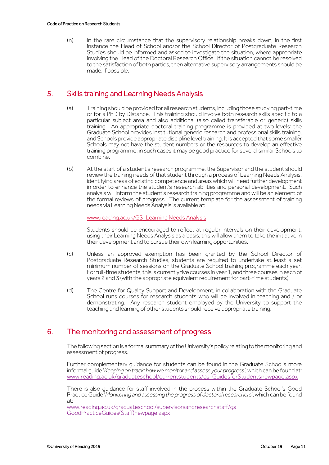(n) In the rare circumstance that the supervisory relationship breaks down, in the first instance the Head of School and/or the School Director of Postgraduate Research Studies should be informed and asked to investigate the situation, where appropriate involving the Head of the Doctoral Research Office. If the situation cannot be resolved to the satisfaction of both parties, then alternative supervisory arrangements should be made, if possible.

## <span id="page-10-0"></span>5. Skills training and Learning Needs Analysis

- (a) Training should be provided for all research students, including those studying part-time or for a PhD by Distance. This training should involve both research skills specific to a particular subject area and also additional (also called transferable or generic) skills training. An appropriate doctoral training programme is provided at two levels: the Graduate School provides Institutional generic research and professional skills training, and Schools provide appropriate discipline level training. It is accepted that some smaller Schools may not have the student numbers or the resources to develop an effective training programme; in such cases it may be good practice for several similar Schools to combine.
- (b) At the start of a student's research programme, the Supervisor and the student should review the training needs of that student through a process of Learning Needs Analysis, identifying areas of existing competence and areas which will need further development in order to enhance the student's research abilities and personal development. Such analysis will inform the student's research training programme and will be an element of the formal reviews of progress. The current template for the assessment of training needs via Learning Needs Analysis is available at:

#### [www.reading.ac.uk/GS\\_Learning Needs Analysis](http://www.reading.ac.uk/GS_Learning%20Needs%20Analysis)

Students should be encouraged to reflect at regular intervals on their development, using their Learning Needs Analysis as a basis; this will allow them to take the initiative in their development and to pursue their own learning opportunities.

- (c) Unless an approved exemption has been granted by the School Director of Postgraduate Research Studies, students are required to undertake at least a set minimum number of sessions on the Graduate School training programme each year. For full-time students, this is currently five courses in year 1, and three courses in each of years 2 and 3 (with the appropriate equivalent requirement for part-time students).
- (d) The Centre for Quality Support and Development, in collaboration with the Graduate School runs courses for research students who will be involved in teaching and / or demonstrating. Any research student employed by the University to support the teaching and learning of other students should receive appropriate training.

## <span id="page-10-1"></span>6. The monitoring and assessment of progress

The following section is a formal summary of the University's policy relating to the monitoring and assessment of progress.

Further complementary guidance for students can be found in the Graduate School's more informal guide '*Keeping on track: how we monitor and assess your progress'*, which can be found at: [www.reading.ac.uk/graduateschool/currentstudents/gs-GuidesforStudentsnewpage.aspx](http://www.reading.ac.uk/graduateschool/currentstudents/gs-GuidesforStudentsnewpage.aspx)

There is also guidance for staff involved in the process within the Graduate School's Good Practice Guide '*Monitoring and assessing the progress of doctoral researchers*', which can be found at:

[www.reading.ac.uk/graduateschool/supervisorsandresearchstaff/gs-](http://www.reading.ac.uk/graduateschool/supervisorsandresearchstaff/gs-GoodPracticeGuides(Staff)newpage.aspx)[GoodPracticeGuides\(Staff\)newpage.aspx](http://www.reading.ac.uk/graduateschool/supervisorsandresearchstaff/gs-GoodPracticeGuides(Staff)newpage.aspx)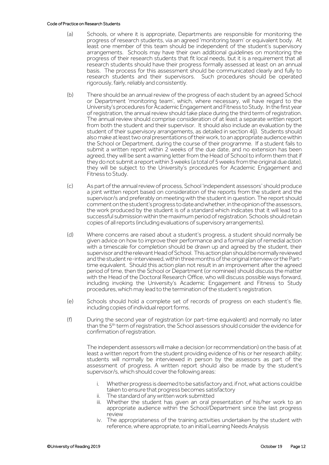#### Code of Practice on Research Students

- (a) Schools, or where it is appropriate, Departments are responsible for monitoring the progress of research students, via an agreed 'monitoring team' or equivalent body. At least one member of this team should be independent of the student's supervisory arrangements. Schools may have their own additional guidelines on monitoring the progress of their research students that fit local needs, but it is a requirement that all research students should have their progress formally assessed at least on an annual basis. The process for this assessment should be communicated clearly and fully to research students and their supervisors. Such procedures should be operated rigorously, fairly, reliably and consistently.
- (b) There should be an annual review of the progress of each student by an agreed School or Department 'monitoring team', which, where necessary, will have regard to the University's procedures for Academic Engagement and Fitness to Study. In the first year of registration, the annual review should take place during the third term of registration. The annual review should comprise consideration of at least a separate written report from both the student and their supervisor. It should also include an evaluation by the student of their supervisory arrangements, as detailed in section 4(j). Students should also make at least two oral presentations of their work, to an appropriate audience within the School or Department, during the course of their programme. If a student fails to submit a written report within 2 weeks of the due date, and no extension has been agreed, they will be sent a warning letter from the Head of School to inform them that if they do not submit a report within 3 weeks (a total of 5 weeks from the original due date), they will be subject to the University's procedures for Academic Engagement and Fitness to Study.
- (c) As part of the annual review of process, School 'independent assessors' should produce a joint written report based on consideration of the reports from the student and the supervisor/s and preferably on meeting with the student in question. The report should comment on the student's progress to date and whether, in the opinion of the assessors, the work produced by the student is of a standard which indicates that it will lead to a successful submission within the maximum period of registration. Schools should retain copies of all reports (including evaluations of supervisory arrangements).
- (d) Where concerns are raised about a student's progress, a student should normally be given advice on how to improve their performance and a formal plan of remedial action with a timescale for completion should be drawn up and agreed by the student, their supervisor and the relevant Head of School. This action plan should be normally reviewed and the student re-interviewed, within three months of the original interview or the Parttime equivalent. Should this action plan not result in an improvement after the agreed period of time, then the School or Department (or nominee) should discuss the matter with the Head of the Doctoral Research Office, who will discuss possible ways forward, including invoking the University's Academic Engagement and Fitness to Study procedures, which may lead to the termination of the student's registration.
- (e) Schools should hold a complete set of records of progress on each student's file, including copies of individual report forms.
- (f) During the second year of registration (or part-time equivalent) and normally no later than the 5<sup>th</sup> term of registration, the School assessors should consider the evidence for confirmation of registration.

The independent assessors will make a decision (or recommendation) on the basis of at least a written report from the student providing evidence of his or her research ability; students will normally be interviewed in person by the assessors as part of the assessment of progress. A written report should also be made by the student's supervisor/s, which should cover the following areas:

- i. Whether progress is deemed to be satisfactory and, if not, what actions could be taken to ensure that progress becomes satisfactory
- The standard of any written work submitted
- iii. Whether the student has given an oral presentation of his/her work to an appropriate audience within the School/Department since the last progress review
- iv. The appropriateness of the training activities undertaken by the student with reference, where appropriate, to an initial Learning Needs Analysis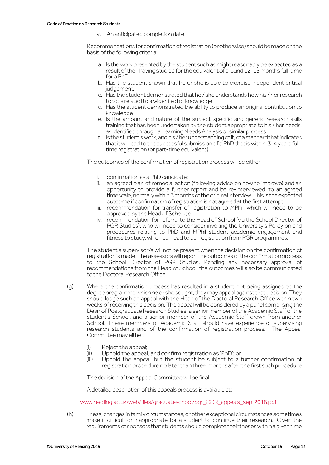v. An anticipated completion date.

Recommendations for confirmation of registration (or otherwise) should be made on the basis of the following criteria:

- a. Is the work presented by the student such as might reasonably be expected as a result of their having studied for the equivalent of around 12-18 months full-time for a PhD.
- b. Has the student shown that he or she is able to exercise independent critical judgement.
- c. Has the student demonstrated that he / she understands how his / her research topic is related to a wider field of knowledge.
- d. Has the student demonstrated the ability to produce an original contribution to knowledge
- e. Is the amount and nature of the subject-specific and generic research skills training that has been undertaken by the student appropriate to his / her needs, as identified through a Learning Needs Analysis or similar process.
- f. Is the student's work, and his / her understanding of it, of a standard that indicates that it will lead to the successful submission of a PhD thesis within 3-4 years fulltime registration (or part-time equivalent)

The outcomes of the confirmation of registration process will be either:

- i. confirmation as a PhD candidate;
- an agreed plan of remedial action (following advice on how to improve) and an opportunity to provide a further report and be re-interviewed, to an agreed timescale, normally within 3 months of the original interview. This is the expected outcome if confirmation of registration is not agreed at the first attempt.
- iii. recommendation for transfer of registration to MPhil, which will need to be approved by the Head of School; or
- iv. recommendation for referral to the Head of School (via the School Director of PGR Studies), who will need to consider invoking the University's Policy on and procedures relating to PhD and MPhil student academic engagement and fitness to study, which can lead to de-registration from PGR programmes.

The student's supervisor/s will not be present when the decision on the confirmation of registration is made. The assessors will report the outcomes of the confirmation process to the School Director of PGR Studies. Pending any necessary approval of recommendations from the Head of School, the outcomes will also be communicated to the Doctoral Research Office.

- (g) Where the confirmation process has resulted in a student not being assigned to the degree programme which he or she sought, they may appeal against that decision. They should lodge such an appeal with the Head of the Doctoral Research Office within two weeks of receiving this decision. The appeal will be considered by a panel comprising the Dean of Postgraduate Research Studies, a senior member of the Academic Staff of the student's School, and a senior member of the Academic Staff drawn from another School. These members of Academic Staff should have experience of supervising research students and of the confirmation of registration process. The Appeal Committee may either:
	- (i) Reject the appeal;<br>(ii) Uphold the appeal
	- (ii) Uphold the appeal, and confirm registration as 'PhD'; or
	- Uphold the appeal, but the student be subject to a further confirmation of registration procedure no later than three months after the first such procedure

The decision of the Appeal Committee will be final.

A detailed description of this appeals process is available at:

[www.reading.ac.uk/web/files/graduateschool/pgr\\_COR\\_appeals\\_sept2018.pdf](http://www.reading.ac.uk/web/files/graduateschool/pgr_COR_appeals_sept2018.pdf)

(h) Illness, changes in family circumstances, or other exceptional circumstances sometimes make it difficult or inappropriate for a student to continue their research. Given the requirements of sponsors that students should complete their theses within a given time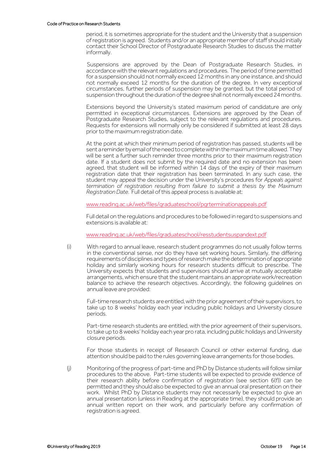period, it is sometimes appropriate for the student and the University that a suspension of registration is agreed. Students and/or an appropriate member of staff should initially contact their School Director of Postgraduate Research Studies to discuss the matter informally.

Suspensions are approved by the Dean of Postgraduate Research Studies, in accordance with the relevant regulations and procedures. The period of time permitted for a suspension should not normally exceed 12 months in any one instance, and should not normally exceed 12 months for the duration of the degree. In very exceptional circumstances, further periods of suspension may be granted, but the total period of suspension throughout the duration of the degree shall not normally exceed 24 months.

Extensions beyond the University's stated maximum period of candidature are only permitted in exceptional circumstances. Extensions are approved by the Dean of Postgraduate Research Studies, subject to the relevant regulations and procedures. Requests for extensions will normally only be considered if submitted at least 28 days prior to the maximum registration date.

At the point at which their minimum period of registration has passed, students will be sent a reminder by email of the need to complete within the maximum time allowed. They will be sent a further such reminder three months prior to their maximum registration date. If a student does not submit by the required date and no extension has been agreed, that student will be informed within 14 days of the expiry of their maximum registration date that their registration has been terminated. In any such case, the student may appeal the decision under the University's procedures for *Appeals against termination of registration resulting from failure to submit a thesis by the Maximum Registration Date*. Full detail of this appeal process is available at:

[www.reading.ac.uk/web/files/graduateschool/pgrterminationappeals.pdf](http://www.reading.ac.uk/web/files/graduateschool/pgrterminationappeals.pdf)

Full detail on the regulations and procedures to be followed in regard to suspensions and extensions is available at:

[www.reading.ac.uk/web/files/graduateschool/resstudentsuspandext.pdf](http://www.reading.ac.uk/web/files/graduateschool/resstudentsuspandext.pdf)

(i) With regard to annual leave, research student programmes do not usually follow terms in the conventional sense, nor do they have set working hours. Similarly, the differing requirements of disciplines and types of research make the determination of appropriate holiday and similarly working hours for research students difficult to prescribe. The University expects that students and supervisors should arrive at mutually acceptable arrangements, which ensure that the student maintains an appropriate work/recreation balance to achieve the research objectives. Accordingly, the following guidelines on annual leave are provided:

Full-time research students are entitled, with the prior agreement of their supervisors, to take up to 8 weeks' holiday each year including public holidays and University closure periods.

Part-time research students are entitled, with the prior agreement of their supervisors, to take up to 8 weeks' holiday each year pro rata, including public holidays and University closure periods.

For those students in receipt of Research Council or other external funding, due attention should be paid to the rules governing leave arrangements for those bodies.

(j) Monitoring of the progress of part-time and PhD by Distance students will follow similar procedures to the above. Part-time students will be expected to provide evidence of their research ability before confirmation of registration (see section 6(f)) can be permitted and they should also be expected to give an annual oral presentation on their work. Whilst PhD by Distance students may not necessarily be expected to give an annual presentation (unless in Reading at the appropriate time), they should provide an annual written report on their work, and particularly before any confirmation of registration is agreed.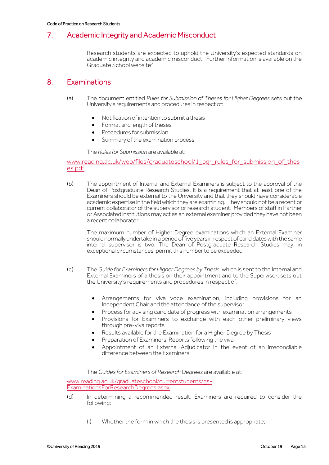## <span id="page-14-0"></span>7. Academic Integrity and Academic Misconduct

Research students are expected to uphold the University's expected standards on academic integrity and academic misconduct. Further information is available on the Graduate School website<sup>2</sup>.

## <span id="page-14-1"></span>8. Examinations

- (a) The document entitled *Rules for Submission of Theses for Higher Degrees* sets out the University's requirements and procedures in respect of:
	- Notification of intention to submit a thesis
	- Format and length of theses
	- Procedures for submission
	- Summary of the examination process

The *Rules for Submission* are available at:

[www.reading.ac.uk/web/files/graduateschool/1\\_pgr\\_rules\\_for\\_submission\\_of\\_thes](http://www.reading.ac.uk/web/files/graduateschool/1_pgr_rules_for_submission_of_theses.pdf) [es.pdf](http://www.reading.ac.uk/web/files/graduateschool/1_pgr_rules_for_submission_of_theses.pdf)

(b) The appointment of Internal and External Examiners is subject to the approval of the Dean of Postgraduate Research Studies. It is a requirement that at least one of the Examiners should be external to the University and that they should have considerable academic expertise in the field which they are examining. They should not be a recent or current collaborator of the supervisor or research student. Members of staff in Partner or Associated institutions may act as an external examiner provided they have not been a recent collaborator.

The maximum number of Higher Degree examinations which an External Examiner should normally undertake in a period of five years in respect of candidates with the same internal supervisor is two. The Dean of Postgraduate Research Studies may, in exceptional circumstances, permit this number to be exceeded.

- (c) The *Guide for Examiners for Higher Degrees by Thesis*, which is sent to the Internal and External Examiners of a thesis on their appointment and to the Supervisor, sets out the University's requirements and procedures in respect of:
	- Arrangements for viva voce examination, including provisions for an Independent Chair and the attendance of the supervisor
	- Process for advising candidate of progress with examination arrangements
	- Provisions for Examiners to exchange with each other preliminary views through pre-viva reports
	- Results available for the Examination for a Higher Degree by Thesis
	- Preparation of Examiners' Reports following the viva
	- Appointment of an External Adjudicator in the event of an irreconcilable difference between the Examiners

The *Guides for Examiners of Research Degrees* are available at:

[www.reading.ac.uk/graduateschool/currentstudents/gs-](http://www.reading.ac.uk/graduateschool/currentstudents/gs-ExaminationsForResearchDegrees.aspx)[ExaminationsForResearchDegrees.aspx](http://www.reading.ac.uk/graduateschool/currentstudents/gs-ExaminationsForResearchDegrees.aspx)

- (d) In determining a recommended result, Examiners are required to consider the following:
	- (i) Whether the form in which the thesis is presented is appropriate;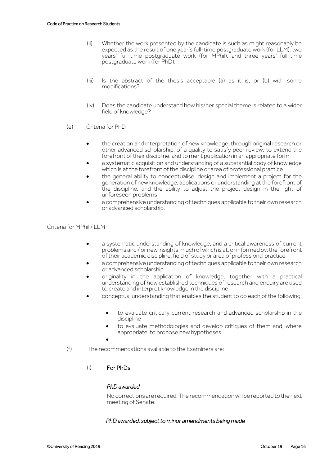- (ii) Whether the work presented by the candidate is such as might reasonably be expected as the result of one year's full-time postgraduate work (for LLM), two years' full-time postgraduate work (for MPhil), and three years' full-time postgraduate work (for PhD);
- (iii) Is the abstract of the thesis acceptable (a) as it is, or (b) with some modifications?
- (iv) Does the candidate understand how his/her special theme is related to a wider field of knowledge?
- (e) Criteria for PhD
	- the creation and interpretation of new knowledge, through original research or other advanced scholarship, of a quality to satisfy peer review, to extend the forefront of their discipline, and to merit publication in an appropriate form
	- a systematic acquisition and understanding of a substantial body of knowledge which is at the forefront of the discipline or area of professional practice
	- the general ability to conceptualise, design and implement a project for the generation of new knowledge, applications or understanding at the forefront of the discipline, and the ability to adjust the project design in the light of unforeseen problems
	- a comprehensive understanding of techniques applicable to their own research or advanced scholarship.

#### Criteria for MPhil / LLM

- a systematic understanding of knowledge, and a critical awareness of current problems and / or new insights, much of which is at, or informed by, the forefront of their academic discipline, field of study or area of professional practice
- a comprehensive understanding of techniques applicable to their own research or advanced scholarship
- originality in the application of knowledge, together with a practical understanding of how established techniques of research and enquiry are used to create and interpret knowledge in the discipline
- conceptual understanding that enables the student to do each of the following:
	- to evaluate critically current research and advanced scholarship in the discipline
	- to evaluate methodologies and develop critiques of them and, where appropriate, to propose new hypotheses.
	- $\bullet$
- (f) The recommendations available to the Examiners are:

## (i) For PhDs

#### *PhD awarded*

No corrections are required. The recommendation will be reported to the next meeting of Senate.

#### *PhD awarded, subject to minor amendments being made*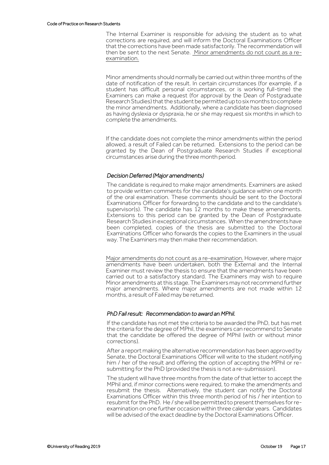The Internal Examiner is responsible for advising the student as to what corrections are required, and will inform the Doctoral Examinations Officer that the corrections have been made satisfactorily. The recommendation will then be sent to the next Senate. Minor amendments do not count as a reexamination.

 Minor amendments should normally be carried out within three months of the date of notification of the result. In certain circumstances (for example, if a student has difficult personal circumstances, or is working full-time) the Examiners can make a request (for approval by the Dean of Postgraduate Research Studies) that the student be permitted up to six months to complete the minor amendments. Additionally, where a candidate has been diagnosed as having dyslexia or dyspraxia, he or she may request six months in which to complete the amendments.

If the candidate does not complete the minor amendments within the period allowed, a result of Failed can be returned. Extensions to the period can be granted by the Dean of Postgraduate Research Studies if exceptional circumstances arise during the three month period.

#### *Decision Deferred (Major amendments)*

The candidate is required to make major amendments. Examiners are asked to provide written comments for the candidate's guidance within one month of the oral examination. These comments should be sent to the Doctoral Examinations Officer for forwarding to the candidate and to the candidate's supervisor(s). The candidate has 12 months to make these amendments. Extensions to this period can be granted by the Dean of Postgraduate Research Studies in exceptional circumstances. When the amendments have been completed, copies of the thesis are submitted to the Doctoral Examinations Officer who forwards the copies to the Examiners in the usual way. The Examiners may then make their recommendation.

Major amendments do not count as a re-examination. However, where major amendments have been undertaken, both the External and the Internal Examiner must review the thesis to ensure that the amendments have been carried out to a satisfactory standard. The Examiners may wish to require Minor amendments at this stage. The Examiners may not recommend further major amendments. Where major amendments are not made within 12 months, a result of Failed may be returned.

#### *PhD Fail result: Recommendation to award an MPhil.*

If the candidate has not met the criteria to be awarded the PhD, but has met the criteria for the degree of MPhil, the examiners can recommend to Senate that the candidate be offered the degree of MPhil (with or without minor corrections).

After a report making the alternative recommendation has been approved by Senate, the Doctoral Examinations Officer will write to the student notifying him / her of the result and offering the option of accepting the MPhil or resubmitting for the PhD (provided the thesis is not a re-submission).

The student will have three months from the date of that letter to accept the MPhil and, if minor corrections were required, to make the amendments and resubmit the thesis. Alternatively, the student can notify the Doctoral Examinations Officer within this three month period of his / her intention to resubmit for the PhD. He / she will be permitted to present themselves for reexamination on one further occasion within three calendar years. Candidates will be advised of the exact deadline by the Doctoral Examinations Officer.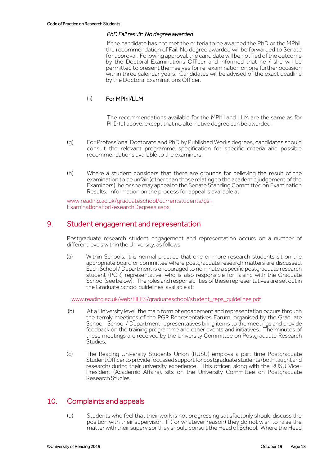#### *PhD Fail result: No degree awarded*

If the candidate has not met the criteria to be awarded the PhD or the MPhil, the recommendation of Fail: No degree awarded will be forwarded to Senate for approval. Following approval, the candidate will be notified of the outcome by the Doctoral Examinations Officer and informed that he / she will be permitted to present themselves for re-examination on one further occasion within three calendar years. Candidates will be advised of the exact deadline by the Doctoral Examinations Officer.

#### (ii) For MPhil/LLM

The recommendations available for the MPhil and LLM are the same as for PhD (a) above, except that no alternative degree can be awarded.

- (g) For Professional Doctorate and PhD by Published Works degrees, candidates should consult the relevant programme specification for specific criteria and possible recommendations available to the examiners.
- (h) Where a student considers that there are grounds for believing the result of the examination to be unfair (other than those relating to the academic judgement of the Examiners), he or she may appeal to the Senate Standing Committee on Examination Results. Information on the process for appeal is available at:

[www.reading.ac.uk/graduateschool/currentstudents/gs-](http://www.reading.ac.uk/graduateschool/currentstudents/gs-ExaminationsForResearchDegrees.aspx)[ExaminationsForResearchDegrees.aspx](http://www.reading.ac.uk/graduateschool/currentstudents/gs-ExaminationsForResearchDegrees.aspx)

## <span id="page-17-0"></span>9. Student engagement and representation

 Postgraduate research student engagement and representation occurs on a number of different levels within the University, as follows:

(a) Within Schools, it is normal practice that one or more research students sit on the appropriate board or committee where postgraduate research matters are discussed. Each School / Department is encouraged to nominate a specific postgraduate research student (PGR) representative, who is also responsible for liaising with the Graduate School (see below). The roles and responsibilities of these representatives are set out in the Graduate School guidelines, available at:

[www.reading.ac.uk/web/FILES/graduateschool/student\\_reps\\_guidelines.pdf](http://www.reading.ac.uk/web/FILES/graduateschool/student_reps_guidelines.pdf)

- (b) At a University level, the main form of engagement and representation occurs through the termly meetings of the PGR Representatives Forum, organised by the Graduate School. School / Department representatives bring items to the meetings and provide feedback on the training programme and other events and initiatives. The minutes of these meetings are received by the University Committee on Postgraduate Research Studies;
- (c) The Reading University Students Union (RUSU) employs a part-time Postgraduate Student Officer to provide focussed support for postgraduate students (both taught and research) during their university experience. This officer, along with the RUSU Vice-President (Academic Affairs), sits on the University Committee on Postgraduate Research Studies.

## <span id="page-17-1"></span>10. Complaints and appeals

(a) Students who feel that their work is not progressing satisfactorily should discuss the position with their supervisor. If (for whatever reason) they do not wish to raise the matter with their supervisor they should consult the Head of School. Where the Head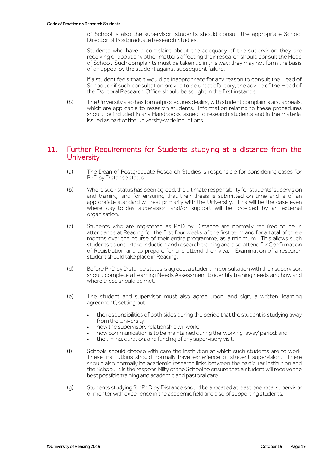of School is also the supervisor, students should consult the appropriate School Director of Postgraduate Research Studies.

Students who have a complaint about the adequacy of the supervision they are receiving or about any other matters affecting their research should consult the Head of School. Such complaints must be taken up in this way; they may not form the basis of an appeal by the student against subsequent failure.

If a student feels that it would be inappropriate for any reason to consult the Head of School, or if such consultation proves to be unsatisfactory, the advice of the Head of the Doctoral Research Office should be sought in the first instance.

(b) The University also has formal procedures dealing with student complaints and appeals, which are applicable to research students. Information relating to these procedures should be included in any Handbooks issued to research students and in the material issued as part of the University-wide inductions.

## <span id="page-18-0"></span>11. Further Requirements for Students studying at a distance from the **University**

- (a) The Dean of Postgraduate Research Studies is responsible for considering cases for PhD by Distance status.
- (b) Where such status has been agreed, the ultimate responsibility for students' supervision and training, and for ensuring that their thesis is submitted on time and is of an appropriate standard will rest primarily with the University. This will be the case even where day-to-day supervision and/or support will be provided by an external organisation.
- (c) Students who are registered as PhD by Distance are normally required to be in attendance at Reading for the first four weeks of the first term and for a total of three months over the course of their entire programme, as a minimum. This allows such students to undertake induction and research training and also attend for Confirmation of Registration and to prepare for and attend their viva. Examination of a research student should take place in Reading.
- (d) Before PhD by Distance status is agreed, a student, in consultation with their supervisor, should complete a Learning Needs Assessment to identify training needs and how and where these should be met.
- (e) The student and supervisor must also agree upon, and sign, a written 'learning agreement', setting out:
	- the responsibilities of both sides during the period that the student is studying away from the University;
	- how the supervisory relationship will work;
	- how communication is to be maintained during the 'working-away' period; and
	- the timing, duration, and funding of any supervisory visit.
- (f) Schools should choose with care the institution at which such students are to work. These institutions should normally have experience of student supervision. There should also normally be academic research links between the particular institution and the School. It is the responsibility of the School to ensure that a student will receive the best possible training and academic and pastoral care.
- (g) Students studying for PhD by Distance should be allocated at least one local supervisor or mentor with experience in the academic field and also of supporting students.